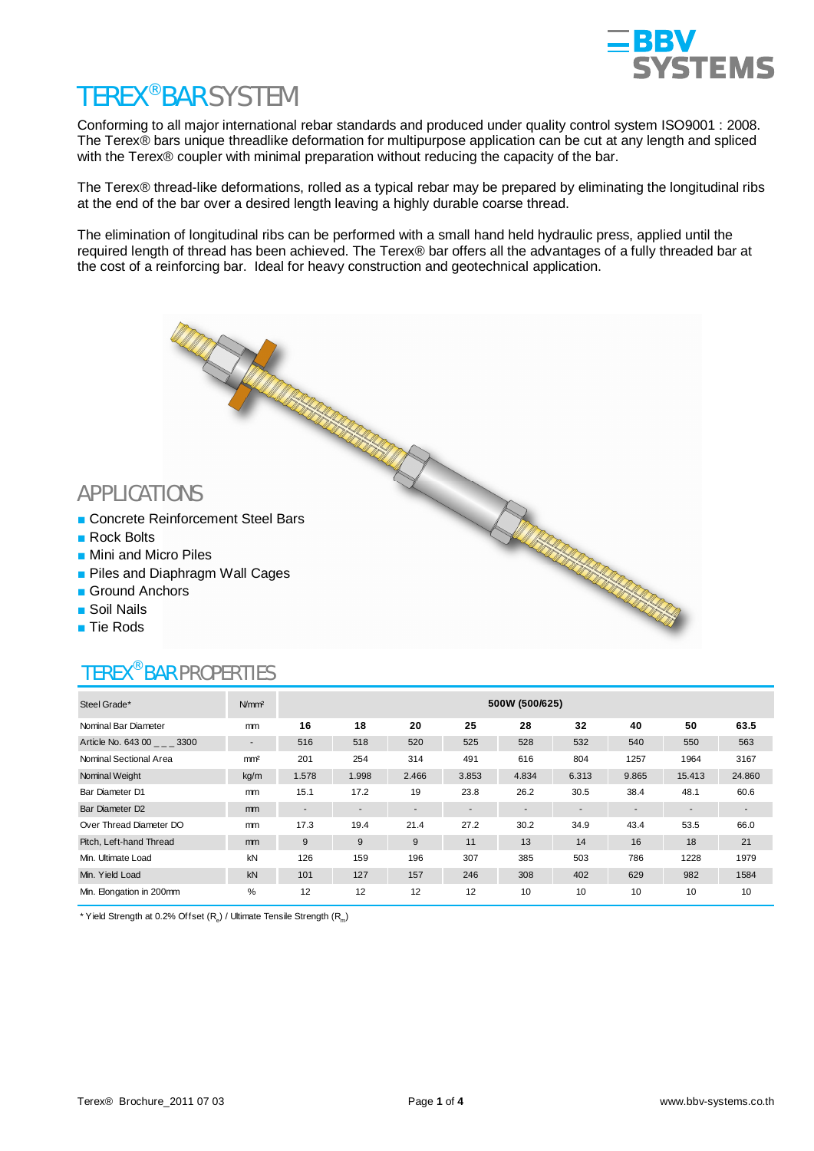

### TEREX® BAR SYSTEM

Conforming to all major international rebar standards and produced under quality control system ISO9001 : 2008. The Terex® bars unique threadlike deformation for multipurpose application can be cut at any length and spliced with the Terex® coupler with minimal preparation without reducing the capacity of the bar.

The Terex® thread-like deformations, rolled as a typical rebar may be prepared by eliminating the longitudinal ribs at the end of the bar over a desired length leaving a highly durable coarse thread.

The elimination of longitudinal ribs can be performed with a small hand held hydraulic press, applied until the required length of thread has been achieved. The Terex® bar offers all the advantages of a fully threaded bar at the cost of a reinforcing bar. Ideal for heavy construction and geotechnical application.

# APPLICATIONS<br>
APPLICATIONS<br>
Seinforcement Steel Bars<br>
APPLICATIONS **E** Concrete Reinforcement Steel Bars **Rock Bolts Mini and Micro Piles Piles and Diaphragm Wall Cages** Ground Anchors **Soil Nails Tie Rods**

## TEREX® BAR PROPERTIES

| Steel Grade*                | N/mm <sup>2</sup>        | 500W (500/625) |                          |                          |       |       |       |                          |                          |        |  |  |  |
|-----------------------------|--------------------------|----------------|--------------------------|--------------------------|-------|-------|-------|--------------------------|--------------------------|--------|--|--|--|
| Nominal Bar Diameter        | mm                       | 16             | 18                       | 20                       | 25    | 28    | 32    | 40                       | 50                       | 63.5   |  |  |  |
| Article No. 643 00 3300     | $\overline{\phantom{a}}$ | 516            | 518                      | 520                      | 525   | 528   | 532   | 540                      | 550                      | 563    |  |  |  |
| Nominal Sectional Area      | mm <sup>2</sup>          | 201            | 254                      | 314                      | 491   | 616   | 804   | 1257                     | 1964                     | 3167   |  |  |  |
| Nominal Weight              | kg/m                     | 1.578          | 1.998                    | 2.466                    | 3.853 | 4.834 | 6.313 | 9.865                    | 15.413                   | 24.860 |  |  |  |
| Bar Diameter D1             | mm                       | 15.1           | 17.2                     | 19                       | 23.8  | 26.2  | 30.5  | 38.4                     | 48.1                     | 60.6   |  |  |  |
| Bar Diameter D <sub>2</sub> | mm                       | ٠              | $\overline{\phantom{a}}$ | $\overline{\phantom{a}}$ |       |       |       | $\overline{\phantom{a}}$ | $\overline{\phantom{a}}$ | $\sim$ |  |  |  |
| Over Thread Diameter DO     | mm                       | 17.3           | 19.4                     | 21.4                     | 27.2  | 30.2  | 34.9  | 43.4                     | 53.5                     | 66.0   |  |  |  |
| Pitch, Left-hand Thread     | <sub>mm</sub>            | 9              | 9                        | 9                        | 11    | 13    | 14    | 16                       | 18                       | 21     |  |  |  |
| Min. Ultimate Load          | kN                       | 126            | 159                      | 196                      | 307   | 385   | 503   | 786                      | 1228                     | 1979   |  |  |  |
| Min. Yield Load             | kN                       | 101            | 127                      | 157                      | 246   | 308   | 402   | 629                      | 982                      | 1584   |  |  |  |
| Min. Elongation in 200mm    | %                        | 12             | 12                       | 12                       | 12    | 10    | 10    | 10                       | 10                       | 10     |  |  |  |

\* Yield Strength at 0.2% Offset  $(R_e)$  / Ultimate Tensile Strength  $(R_m)$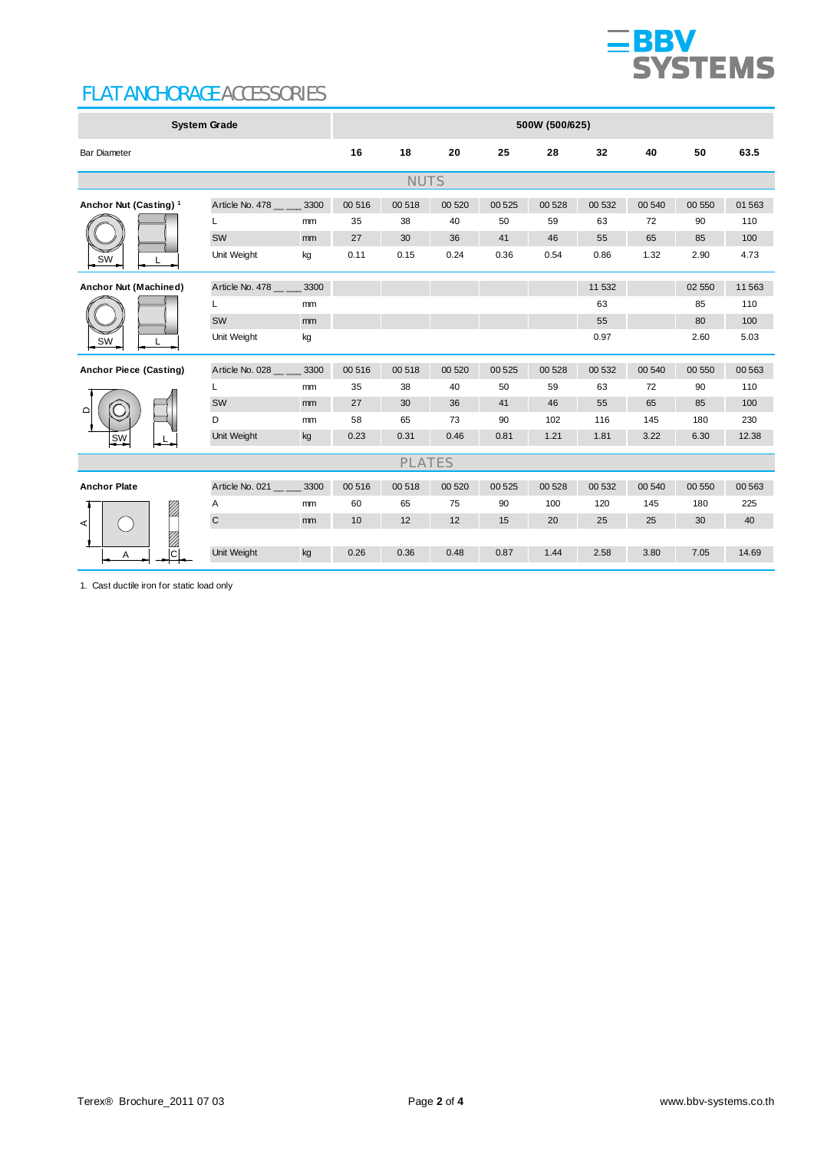

#### FLAT ANCHORAGE ACCESSORIES

| <b>System Grade</b>               |                 |               | 500W (500/625) |               |        |         |        |        |        |        |          |  |
|-----------------------------------|-----------------|---------------|----------------|---------------|--------|---------|--------|--------|--------|--------|----------|--|
| <b>Bar Diameter</b>               |                 |               | 16             | 18            | 20     | 25      | 28     | 32     | 40     | 50     | 63.5     |  |
|                                   |                 |               |                | <b>NUTS</b>   |        |         |        |        |        |        |          |  |
| Anchor Nut (Casting) <sup>1</sup> | Article No. 478 | 3300          | 00 516         | 00 518        | 00 520 | 00 5 25 | 00 528 | 00 532 | 00 540 | 00 550 | 01 563   |  |
|                                   | L               | mm            | 35             | 38            | 40     | 50      | 59     | 63     | 72     | 90     | 110      |  |
|                                   | SW              | mm            | 27             | 30            | 36     | 41      | 46     | 55     | 65     | 85     | 100      |  |
| SW                                | Unit Weight     | kg            | 0.11           | 0.15          | 0.24   | 0.36    | 0.54   | 0.86   | 1.32   | 2.90   | 4.73     |  |
| Anchor Nut (Machined)<br>SW       | Article No. 478 | 3300          |                |               |        |         |        | 11 532 |        | 02 550 | 11 5 6 3 |  |
|                                   |                 | <sub>mm</sub> |                |               |        |         |        | 63     |        | 85     | 110      |  |
|                                   | SW              | mm            |                |               |        |         |        | 55     |        | 80     | 100      |  |
|                                   | Unit Weight     | kg            |                |               |        |         |        | 0.97   |        | 2.60   | 5.03     |  |
| Anchor Piece (Casting)            | Article No. 028 | 3300          | 00 516         | 00 518        | 00 520 | 00 5 25 | 00 528 | 00 532 | 00 540 | 00 550 | 00 563   |  |
|                                   | L               | mm            | 35             | 38            | 40     | 50      | 59     | 63     | 72     | 90     | 110      |  |
| $\Omega$                          | SW              | mm            | 27             | 30            | 36     | 41      | 46     | 55     | 65     | 85     | 100      |  |
|                                   | D               | mm            | 58             | 65            | 73     | 90      | 102    | 116    | 145    | 180    | 230      |  |
| <u>sw</u>                         | Unit Weight     | kg            | 0.23           | 0.31          | 0.46   | 0.81    | 1.21   | 1.81   | 3.22   | 6.30   | 12.38    |  |
|                                   |                 |               |                | <b>PLATES</b> |        |         |        |        |        |        |          |  |
| <b>Anchor Plate</b>               | Article No. 021 | 3300          | 00 516         | 00 518        | 00 520 | 00 5 25 | 00 528 | 00 532 | 00 540 | 00 550 | 00 563   |  |
| .<br> }                           | Α               | mm            | 60             | 65            | 75     | 90      | 100    | 120    | 145    | 180    | 225      |  |
| ⋖                                 | $\mathbf C$     | mm            | 10             | 12            | 12     | 15      | 20     | 25     | 25     | 30     | 40       |  |
|                                   |                 |               |                |               |        |         |        |        |        |        |          |  |
| $\overline{\Omega}$<br>Α          | Unit Weight     | kg            | 0.26           | 0.36          | 0.48   | 0.87    | 1.44   | 2.58   | 3.80   | 7.05   | 14.69    |  |

1. Cast ductile iron for static load only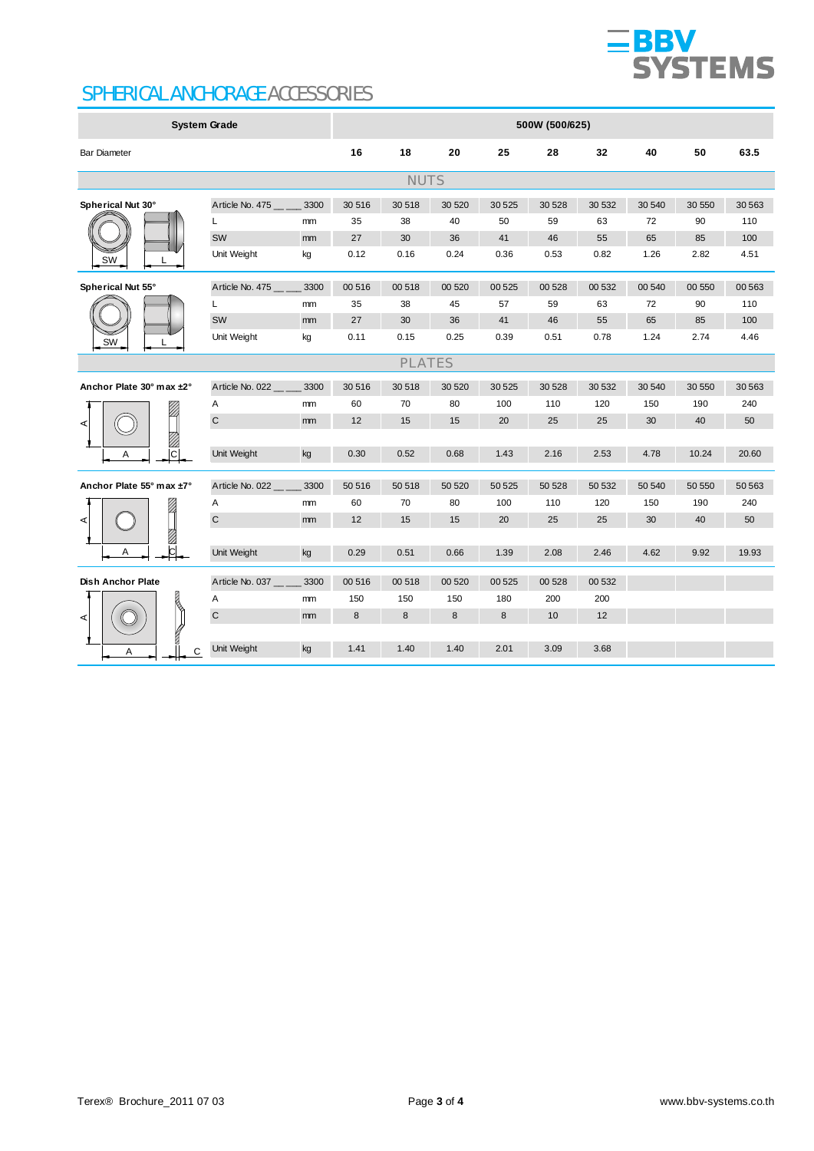

#### SPHERICAL ANCHORAGE ACCESSORIES

| <b>System Grade</b>      |                 |      | 500W (500/625) |        |        |         |        |        |        |        |        |  |  |
|--------------------------|-----------------|------|----------------|--------|--------|---------|--------|--------|--------|--------|--------|--|--|
| <b>Bar Diameter</b>      |                 |      | 16             | 18     | 20     | 25      | 28     | 32     | 40     | 50     | 63.5   |  |  |
| <b>NUTS</b>              |                 |      |                |        |        |         |        |        |        |        |        |  |  |
| Spherical Nut 30°        | Article No. 475 | 3300 | 30 516         | 30 518 | 30 520 | 30 5 25 | 30 528 | 30 532 | 30 540 | 30 550 | 30 563 |  |  |
|                          | L               | mm   | 35             | 38     | 40     | 50      | 59     | 63     | 72     | 90     | 110    |  |  |
|                          | SW              | mm   | 27             | 30     | 36     | 41      | 46     | 55     | 65     | 85     | 100    |  |  |
| SW                       | Unit Weight     | kg   | 0.12           | 0.16   | 0.24   | 0.36    | 0.53   | 0.82   | 1.26   | 2.82   | 4.51   |  |  |
| Spherical Nut 55°        | Article No. 475 | 3300 | 00 516         | 00 518 | 00 520 | 00 5 25 | 00 528 | 00 532 | 00 540 | 00 550 | 00 563 |  |  |
|                          | L               | mm   | 35             | 38     | 45     | 57      | 59     | 63     | 72     | 90     | 110    |  |  |
|                          | SW              | mm   | 27             | 30     | 36     | 41      | 46     | 55     | 65     | 85     | 100    |  |  |
| SW                       | Unit Weight     | kg   | 0.11           | 0.15   | 0.25   | 0.39    | 0.51   | 0.78   | 1.24   | 2.74   | 4.46   |  |  |
|                          | <b>PLATES</b>   |      |                |        |        |         |        |        |        |        |        |  |  |
| Anchor Plate 30° max ±2° | Article No. 022 | 3300 | 30 516         | 30 518 | 30 520 | 30 5 25 | 30 528 | 30 532 | 30 540 | 30 550 | 30 563 |  |  |
|                          | Α               | mm   | 60             | 70     | 80     | 100     | 110    | 120    | 150    | 190    | 240    |  |  |
| ⋖                        | $\mathsf C$     | mm   | 12             | 15     | 15     | 20      | 25     | 25     | 30     | 40     | 50     |  |  |
| Ø                        |                 |      |                |        |        |         |        |        |        |        |        |  |  |
| c <br>Α                  | Unit Weight     | kg   | 0.30           | 0.52   | 0.68   | 1.43    | 2.16   | 2.53   | 4.78   | 10.24  | 20.60  |  |  |
| Anchor Plate 55° max ±7° | Article No. 022 | 3300 | 50 516         | 50 518 | 50 520 | 50 525  | 50 528 | 50 532 | 50 540 | 50 550 | 50 563 |  |  |
|                          | Α               | mm   | 60             | 70     | 80     | 100     | 110    | 120    | 150    | 190    | 240    |  |  |
| ⋖                        | $\mathsf C$     | mm   | 12             | 15     | 15     | 20      | 25     | 25     | 30     | 40     | 50     |  |  |
| $\mathbb{Z}$             |                 |      |                |        |        |         |        |        |        |        |        |  |  |
| c <br>Α                  | Unit Weight     | kg   | 0.29           | 0.51   | 0.66   | 1.39    | 2.08   | 2.46   | 4.62   | 9.92   | 19.93  |  |  |
| <b>Dish Anchor Plate</b> | Article No. 037 | 3300 | 00 516         | 00 518 | 00 520 | 00 5 25 | 00 528 | 00 532 |        |        |        |  |  |
|                          | Α               | mm   | 150            | 150    | 150    | 180     | 200    | 200    |        |        |        |  |  |
| ⋖                        | $\mathsf{C}$    | mm   | 8              | 8      | 8      | 8       | 10     | 12     |        |        |        |  |  |
|                          |                 |      |                |        |        |         |        |        |        |        |        |  |  |
| C<br>Α                   | Unit Weight     | kg   | 1.41           | 1.40   | 1.40   | 2.01    | 3.09   | 3.68   |        |        |        |  |  |